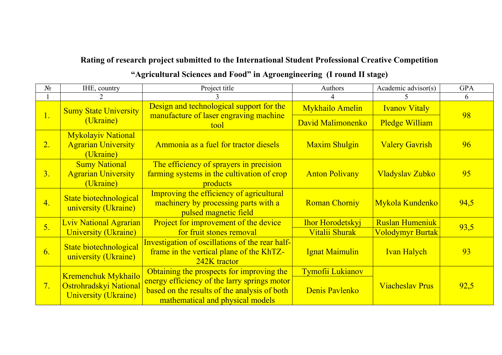## **Rating of research project submitted to the International Student Professional Creative Competition "Agricultural Sciences and Food" in Agroengineering (I round II stage)**

| $N_2$          | IHE, country                                                         | Project title                                                                                                                    | Authors                 | Academic advisor(s)     | <b>GPA</b> |
|----------------|----------------------------------------------------------------------|----------------------------------------------------------------------------------------------------------------------------------|-------------------------|-------------------------|------------|
|                |                                                                      |                                                                                                                                  | 4                       |                         | 6          |
| 1.             | <b>Sumy State University</b>                                         | Design and technological support for the                                                                                         | <b>Mykhailo Amelin</b>  | <b>Ivanov Vitaly</b>    | 98         |
|                | (Ukraine)                                                            | manufacture of laser engraving machine<br>tool                                                                                   | David Malimonenko       | <b>Pledge William</b>   |            |
| 2.             | <b>Mykolayiv National</b><br><b>Agrarian University</b><br>(Ukraine) | Ammonia as a fuel for tractor diesels                                                                                            | <b>Maxim Shulgin</b>    | <b>Valery Gavrish</b>   | 96         |
| 3.             | <b>Sumy National</b><br><b>Agrarian University</b><br>(Ukraine)      | The efficiency of sprayers in precision<br>farming systems in the cultivation of crop<br>products                                | <b>Anton Polivany</b>   | <b>Vladyslav Zubko</b>  | 95         |
| 4.             | State biotechnological<br>university (Ukraine)                       | Improving the efficiency of agricultural<br>machinery by processing parts with a<br>pulsed magnetic field                        | <b>Roman Chorniy</b>    | Mykola Kundenko         | 94,5       |
|                | <b>Lviv National Agrarian</b>                                        | Project for improvement of the device                                                                                            | <b>Ihor Horodetskyj</b> | <b>Ruslan Humeniuk</b>  |            |
| 5 <sub>l</sub> | <b>University (Ukraine)</b>                                          | for fruit stones removal                                                                                                         | Vitalii Shurak          | <b>Volodymyr Burtak</b> | 93,5       |
| 6.             | State biotechnological<br>university (Ukraine)                       | Investigation of oscillations of the rear half-<br>frame in the vertical plane of the KhTZ-<br>242K tractor                      | <b>Ignat Maimulin</b>   | <b>Ivan Halych</b>      | 93         |
|                | Kremenchuk Mykhailo                                                  | Obtaining the prospects for improving the                                                                                        | <b>Tymofii Lukianov</b> |                         |            |
| 7.             | Ostrohradskyi National<br><b>University (Ukraine)</b>                | energy efficiency of the larry springs motor<br>based on the results of the analysis of both<br>mathematical and physical models | Denis Pavlenko          | <b>Viacheslav Prus</b>  | 92,5       |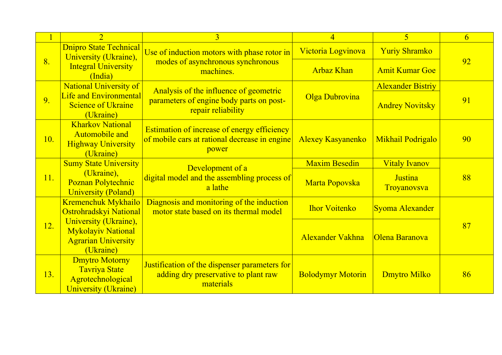|     | $\overline{2}$                                                                                    | $\overline{3}$                                                                                               | $\overline{4}$           | 5                             | 6  |
|-----|---------------------------------------------------------------------------------------------------|--------------------------------------------------------------------------------------------------------------|--------------------------|-------------------------------|----|
|     | <b>Dnipro State Technical</b><br>University (Ukraine),                                            | Use of induction motors with phase rotor in                                                                  | Victoria Logvinova       | <b>Yuriy Shramko</b>          |    |
| 8.  | <b>Integral University</b><br>(India)                                                             | modes of asynchronous synchronous<br>machines.                                                               | <b>Arbaz Khan</b>        | <b>Amit Kumar Goe</b>         | 92 |
|     | National University of                                                                            | Analysis of the influence of geometric                                                                       |                          | <b>Alexander Bistriy</b>      |    |
| 9.  | <b>Life and Environmental</b><br><b>Science of Ukraine</b><br>(Ukraine)                           | parameters of engine body parts on post-<br>repair reliability                                               | Olga Dubrovina           | <b>Andrey Novitsky</b>        | 91 |
| 10. | <b>Kharkov National</b><br>Automobile and<br><b>Highway University</b><br>(Ukraine)               | <b>Estimation of increase of energy efficiency</b><br>of mobile cars at rational decrease in engine<br>power | <b>Alexey Kasyanenko</b> | <b>Mikhail Podrigalo</b>      | 90 |
|     | <b>Sumy State University</b>                                                                      | Development of a                                                                                             | <b>Maxim Besedin</b>     | <b>Vitaly Ivanov</b>          |    |
| 11. | (Ukraine),<br>Poznan Polytechnic<br><b>University (Poland)</b>                                    | digital model and the assembling process of<br>a lathe                                                       | Marta Popovska           | <b>Justina</b><br>Troyanovsva | 88 |
|     | Kremenchuk Mykhailo<br>Ostrohradskyi National                                                     | Diagnosis and monitoring of the induction<br>motor state based on its thermal model                          | <b>Ihor Voitenko</b>     | Syoma Alexander               |    |
| 12. | University (Ukraine),<br><b>Mykolayiv National</b><br><b>Agrarian University</b><br>(Ukraine)     |                                                                                                              | <b>Alexander Vakhna</b>  | Olena Baranova                | 87 |
| 13. | <b>Dmytro Motorny</b><br><b>Tavriya State</b><br>Agrotechnological<br><b>University (Ukraine)</b> | Justification of the dispenser parameters for<br>adding dry preservative to plant raw<br>materials           | <b>Bolodymyr Motorin</b> | <b>Dmytro Milko</b>           | 86 |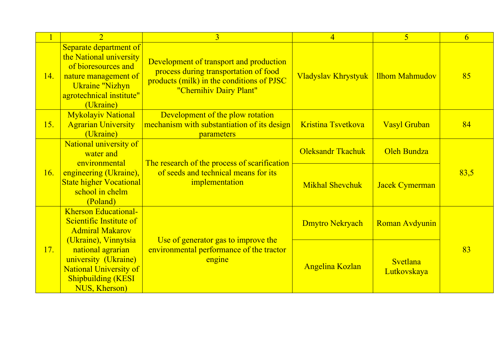|     | $\overline{2}$                                                                                                                                                      | $\overline{3}$                                                                                                                                           | $\overline{4}$            | $\overline{5}$          | 6    |
|-----|---------------------------------------------------------------------------------------------------------------------------------------------------------------------|----------------------------------------------------------------------------------------------------------------------------------------------------------|---------------------------|-------------------------|------|
| 14. | Separate department of<br>the National university<br>of bioresources and<br>nature management of<br><b>Ukraine "Nizhyn</b><br>agrotechnical institute"<br>(Ukraine) | Development of transport and production<br>process during transportation of food<br>products (milk) in the conditions of PJSC<br>"Chernihiv Dairy Plant" | Vladyslav Khrystyuk       | <b>Ilhom Mahmudov</b>   | 85   |
| 15. | <b>Mykolayiv National</b><br><b>Agrarian University</b><br>(Ukraine)                                                                                                | Development of the plow rotation<br>mechanism with substantiation of its design<br>parameters                                                            | <b>Kristina Tsvetkova</b> | <b>Vasyl Gruban</b>     | 84   |
|     | National university of<br>water and<br>environmental                                                                                                                | The research of the process of scarification<br>of seeds and technical means for its<br>implementation                                                   | <b>Oleksandr Tkachuk</b>  | Oleh Bundza             |      |
| 16. | engineering (Ukraine),<br><b>State higher Vocational</b><br>school in chelm<br>(Poland)                                                                             |                                                                                                                                                          | <b>Mikhal Shevchuk</b>    | <b>Jacek Cymerman</b>   | 83,5 |
|     | <b>Kherson Educational-</b><br>Scientific Institute of<br><b>Admiral Makarov</b><br>(Ukraine), Vinnytsia                                                            | Use of generator gas to improve the<br>environmental performance of the tractor<br>engine                                                                | Dmytro Nekryach           | <b>Roman Avdyunin</b>   |      |
| 17. | national agrarian<br>university (Ukraine)<br><b>National University of</b><br><b>Shipbuilding (KESI</b><br>NUS, Kherson)                                            |                                                                                                                                                          | <b>Angelina Kozlan</b>    | Svetlana<br>Lutkovskaya | 83   |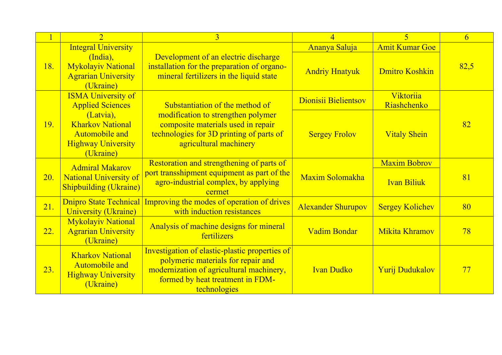|            | $\overline{2}$                                                                                          | 3                                                                                                                                                                                    | $\overline{4}$            | $\overline{\mathbf{5}}$  | 6    |
|------------|---------------------------------------------------------------------------------------------------------|--------------------------------------------------------------------------------------------------------------------------------------------------------------------------------------|---------------------------|--------------------------|------|
|            | <b>Integral University</b>                                                                              |                                                                                                                                                                                      | Ananya Saluja             | <b>Amit Kumar Goe</b>    |      |
| 18.        | (India),<br><b>Mykolayiv National</b><br><b>Agrarian University</b><br>(Ukraine)                        | Development of an electric discharge<br>installation for the preparation of organo-<br>mineral fertilizers in the liquid state                                                       | <b>Andriy Hnatyuk</b>     | <b>Dmitro Koshkin</b>    | 82,5 |
|            | <b>ISMA University of</b><br><b>Applied Sciences</b>                                                    | Substantiation of the method of                                                                                                                                                      | Dionisii Bielientsov      | Viktoriia<br>Riashchenko |      |
| 19.        | (Latvia),<br><b>Kharkov National</b><br><b>Automobile and</b><br><b>Highway University</b><br>(Ukraine) | modification to strengthen polymer<br>composite materials used in repair<br>technologies for 3D printing of parts of<br>agricultural machinery                                       | <b>Sergey Frolov</b>      | <b>Vitaly Shein</b>      | 82   |
|            | <b>Admiral Makarov</b>                                                                                  | Restoration and strengthening of parts of                                                                                                                                            |                           | <b>Maxim Bobrov</b>      |      |
| <b>20.</b> | <b>National University of</b><br><b>Shipbuilding (Ukraine)</b>                                          | port transshipment equipment as part of the<br>agro-industrial complex, by applying<br>cermet                                                                                        | Maxim Solomakha           | <b>Ivan Biliuk</b>       | 81   |
| 21.        | <b>Dnipro State Technical</b><br><b>University (Ukraine)</b>                                            | Improving the modes of operation of drives<br>with induction resistances                                                                                                             | <b>Alexander Shurupov</b> | <b>Sergey Kolichev</b>   | 80   |
| 22.        | <b>Mykolayiv National</b><br><b>Agrarian University</b><br>(Ukraine)                                    | Analysis of machine designs for mineral<br>fertilizers                                                                                                                               | <b>Vadim Bondar</b>       | <b>Mikita Khramov</b>    | 78   |
| 23.        | <b>Kharkov National</b><br><b>Automobile and</b><br><b>Highway University</b><br>(Ukraine)              | Investigation of elastic-plastic properties of<br>polymeric materials for repair and<br>modernization of agricultural machinery,<br>formed by heat treatment in FDM-<br>technologies | <b>Ivan Dudko</b>         | <b>Yurij Dudukalov</b>   | 77   |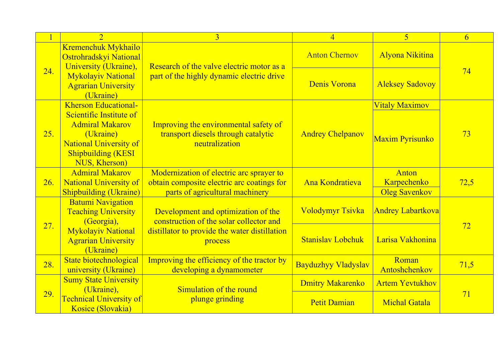|     | $\overline{2}$                                                                                                                                | $\overline{3}$                                                                                                            | $\overline{4}$             | $\overline{5}$                               | 6    |
|-----|-----------------------------------------------------------------------------------------------------------------------------------------------|---------------------------------------------------------------------------------------------------------------------------|----------------------------|----------------------------------------------|------|
|     | Kremenchuk Mykhailo<br>Ostrohradskyi National<br>University (Ukraine),                                                                        | Research of the valve electric motor as a<br>part of the highly dynamic electric drive                                    | <b>Anton Chernov</b>       | <b>Alyona Nikitina</b>                       |      |
| 24. | <b>Mykolayiv National</b><br><b>Agrarian University</b><br>(Ukraine)                                                                          |                                                                                                                           | <b>Denis Vorona</b>        | <b>Aleksey Sadovoy</b>                       | 74   |
|     | <b>Kherson Educational-</b>                                                                                                                   |                                                                                                                           |                            | <b>Vitaly Maximov</b>                        |      |
| 25. | Scientific Institute of<br><b>Admiral Makarov</b><br>(Ukraine)<br><b>National University of</b><br><b>Shipbuilding (KESI</b><br>NUS, Kherson) | Improving the environmental safety of<br>transport diesels through catalytic<br>neutralization                            | <b>Andrey Chelpanov</b>    | Maxim Pyrisunko                              | 73   |
| 26. | <b>Admiral Makarov</b><br><b>National University of</b><br><b>Shipbuilding (Ukraine)</b>                                                      | Modernization of electric arc sprayer to<br>obtain composite electric arc coatings for<br>parts of agricultural machinery | <b>Ana Kondratieva</b>     | Anton<br>Karpechenko<br><b>Oleg Savenkov</b> | 72,5 |
|     | <b>Batumi Navigation</b><br><b>Teaching University</b><br>(Georgia),                                                                          | Development and optimization of the<br>construction of the solar collector and                                            | <b>Volodymyr Tsivka</b>    | <b>Andrey Labartkova</b>                     |      |
| 27. | <b>Mykolayiv National</b><br><b>Agrarian University</b><br>(Ukraine)                                                                          | distillator to provide the water distillation<br>process                                                                  | <b>Stanislay Lobchuk</b>   | Larisa Vakhonina                             | 72   |
| 28. | State biotechnological<br>university (Ukraine)                                                                                                | Improving the efficiency of the tractor by<br>developing a dynamometer                                                    | <b>Bayduzhyy Vladyslav</b> | Roman<br>Antoshchenkov                       | 71,5 |
|     | <b>Sumy State University</b><br>(Ukraine),                                                                                                    |                                                                                                                           | <b>Dmitry Makarenko</b>    | <b>Artem Yevtukhov</b>                       |      |
| 29. | <b>Technical University of</b><br>Kosice (Slovakia)                                                                                           | Simulation of the round<br>plunge grinding                                                                                | <b>Petit Damian</b>        | <b>Michal Gatala</b>                         | 71   |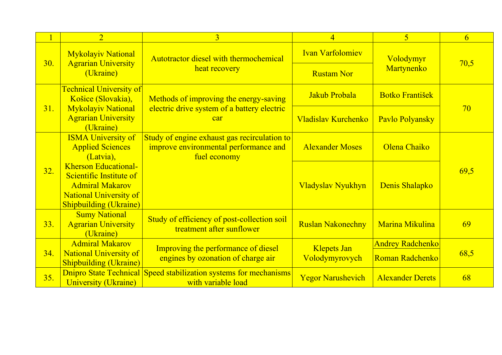|     | $\overline{2}$                                                                                                                                     | $\overline{3}$                                                                                        | $\overline{4}$                       | $\overline{5}$                             | $\overline{6}$ |
|-----|----------------------------------------------------------------------------------------------------------------------------------------------------|-------------------------------------------------------------------------------------------------------|--------------------------------------|--------------------------------------------|----------------|
| 30. | <b>Mykolayiv National</b><br><b>Agrarian University</b>                                                                                            | Autotractor diesel with thermochemical                                                                | <b>Ivan Varfolomiev</b>              | Volodymyr                                  | 70,5           |
|     | (Ukraine)                                                                                                                                          | heat recovery                                                                                         | <b>Rustam Nor</b>                    | Martynenko                                 |                |
|     | <b>Technical University of</b><br>Košice (Slovakia),                                                                                               | Methods of improving the energy-saving                                                                | Jakub Probala                        | <b>Botko František</b>                     |                |
| 31. | <b>Mykolayiv National</b><br><b>Agrarian University</b><br>(Ukraine)                                                                               | electric drive system of a battery electric<br>car                                                    | Vladislav Kurchenko                  | Pavlo Polyansky                            | 70             |
|     | <b>ISMA University of</b><br><b>Applied Sciences</b><br>(Latvia),                                                                                  | Study of engine exhaust gas recirculation to<br>improve environmental performance and<br>fuel economy | <b>Alexander Moses</b>               | Olena Chaiko                               |                |
| 32. | <b>Kherson Educational-</b><br>Scientific Institute of<br><b>Admiral Makarov</b><br><b>National University of</b><br><b>Shipbuilding (Ukraine)</b> |                                                                                                       | Vladyslav Nyukhyn                    | Denis Shalapko                             | 69,5           |
| 33. | <b>Sumy National</b><br><b>Agrarian University</b><br>(Ukraine)                                                                                    | Study of efficiency of post-collection soil<br>treatment after sunflower                              | <b>Ruslan Nakonechny</b>             | Marina Mikulina                            | 69             |
| 34. | <b>Admiral Makarov</b><br><b>National University of</b><br><b>Shipbuilding (Ukraine)</b>                                                           | Improving the performance of diesel<br>engines by ozonation of charge air                             | <b>Klepets Jan</b><br>Volodymyrovych | <b>Andrey Radchenko</b><br>Roman Radchenko | 68,5           |
| 35. | <b>University (Ukraine)</b>                                                                                                                        | <b>Dnipro State Technical Speed stabilization systems for mechanisms</b><br>with variable load        | <b>Yegor Narushevich</b>             | <b>Alexander Derets</b>                    | 68             |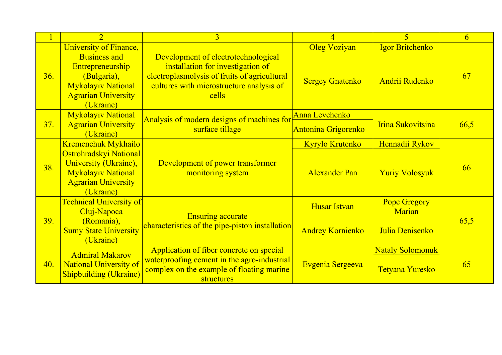|            | $\overline{2}$                                                                                                                 | $\overline{3}$                                                                                                                                                                | $\overline{4}$             | 5                             | 6    |
|------------|--------------------------------------------------------------------------------------------------------------------------------|-------------------------------------------------------------------------------------------------------------------------------------------------------------------------------|----------------------------|-------------------------------|------|
|            | University of Finance,                                                                                                         |                                                                                                                                                                               | <b>Oleg Voziyan</b>        | Igor Britchenko               |      |
| 36.        | <b>Business and</b><br>Entrepreneurship<br>(Bulgaria),<br><b>Mykolayiv National</b><br><b>Agrarian University</b><br>(Ukraine) | Development of electrotechnological<br>installation for investigation of<br>electroplasmolysis of fruits of agricultural<br>cultures with microstructure analysis of<br>cells | <b>Sergey Gnatenko</b>     | Andrii Rudenko                | 67   |
|            | <b>Mykolayiv National</b>                                                                                                      | Analysis of modern designs of machines for                                                                                                                                    | Anna Levchenko             |                               |      |
| 37.        | <b>Agrarian University</b><br>(Ukraine)                                                                                        | surface tillage                                                                                                                                                               | <b>Antonina Grigorenko</b> | Irina Sukovitsina             | 66,5 |
|            | Kremenchuk Mykhailo                                                                                                            | Development of power transformer<br>monitoring system                                                                                                                         | Kyrylo Krutenko            | Hennadii Rykov                |      |
| 38.        | Ostrohradskyi National<br>University (Ukraine),<br><b>Mykolayiv National</b><br><b>Agrarian University</b><br>(Ukraine)        |                                                                                                                                                                               | <b>Alexander Pan</b>       | <b>Yuriy Volosyuk</b>         | 66   |
|            | <b>Technical University of</b><br>Cluj-Napoca                                                                                  |                                                                                                                                                                               | <b>Husar Istvan</b>        | <b>Pope Gregory</b><br>Marian |      |
| <b>39.</b> | (Romania),<br><b>Sumy State University</b><br>(Ukraine)                                                                        | Ensuring accurate<br>characteristics of the pipe-piston installation                                                                                                          | <b>Andrey Kornienko</b>    | Julia Denisenko               | 65,5 |
|            | <b>Admiral Makarov</b>                                                                                                         | Application of fiber concrete on special                                                                                                                                      |                            | <b>Nataly Solomonuk</b>       |      |
| 40.        | <b>National University of</b><br><b>Shipbuilding (Ukraine)</b>                                                                 | waterproofing cement in the agro-industrial<br>complex on the example of floating marine<br>structures                                                                        | Evgenia Sergeeva           | Tetyana Yuresko               | 65   |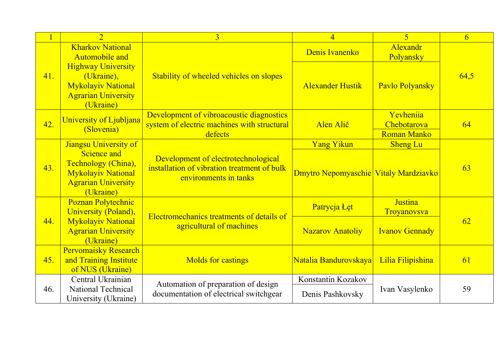|     | $\overline{2}$                                                                                                  | $\overline{3}$                                                                                              | $\overline{4}$                         | $\overline{\mathbf{5}}$                        | 6    |
|-----|-----------------------------------------------------------------------------------------------------------------|-------------------------------------------------------------------------------------------------------------|----------------------------------------|------------------------------------------------|------|
|     | <b>Kharkov National</b><br>Automobile and                                                                       |                                                                                                             | Denis Ivanenko                         | Alexandr<br>Polyansky                          |      |
| 41. | <b>Highway University</b><br>(Ukraine),<br><b>Mykolayiv National</b><br><b>Agrarian University</b><br>(Ukraine) | Stability of wheeled vehicles on slopes                                                                     | <b>Alexander Hustik</b>                | Pavlo Polyansky                                | 64,5 |
| 42. | University of Ljubljana<br>(Slovenia)                                                                           | Development of vibroacoustic diagnostics<br>system of electric machines with structural<br>defects          | Alen Alič                              | Yevheniia<br>Chebotarova<br><b>Roman Manko</b> | 64   |
|     | Jiangsu University of                                                                                           |                                                                                                             | <b>Yang Yikun</b>                      | <b>Sheng Lu</b>                                |      |
| 43. | Science and<br>Technology (China),<br><b>Mykolayiv National</b><br><b>Agrarian University</b><br>(Ukraine)      | Development of electrotechnological<br>installation of vibration treatment of bulk<br>environments in tanks | Dmytro Nepomyaschie Vitaly Mardziavko  |                                                | 63   |
|     | Poznan Polytechnic<br>University (Poland),                                                                      |                                                                                                             | Patrycja Łęt                           | <b>Justina</b><br>Troyanovsva                  |      |
| 44. | <b>Mykolayiv National</b><br><b>Agrarian University</b><br>(Ukraine)                                            | Electromechanics treatments of details of<br>agricultural of machines                                       | <b>Nazarov Anatoliy</b>                | <b>Ivanov Gennady</b>                          | 62   |
| 45. | <b>Pervomaisky Research</b><br>and Training Institute<br>of NUS (Ukraine)                                       | <b>Molds for castings</b>                                                                                   | Natalia Bandurovskaya                  | Lilia Filipishina                              | 61   |
| 46. | Central Ukrainian<br>National Technical<br>University (Ukraine)                                                 | Automation of preparation of design<br>documentation of electrical switchgear                               | Konstantin Kozakov<br>Denis Pashkovsky | Ivan Vasylenko                                 | 59   |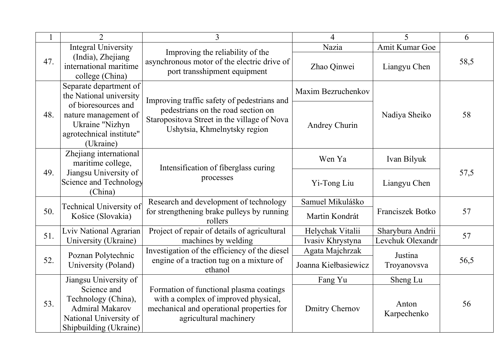|     | $\mathfrak{D}$                                                                                                   | $\overline{3}$                                                                                                                                         | $\overline{4}$        | 5                    | 6    |
|-----|------------------------------------------------------------------------------------------------------------------|--------------------------------------------------------------------------------------------------------------------------------------------------------|-----------------------|----------------------|------|
|     | <b>Integral University</b>                                                                                       |                                                                                                                                                        | Nazia                 | Amit Kumar Goe       |      |
| 47. | (India), Zhejiang<br>international maritime<br>college (China)                                                   | Improving the reliability of the<br>asynchronous motor of the electric drive of<br>port transshipment equipment                                        | Zhao Qinwei           | Liangyu Chen         | 58,5 |
|     | Separate department of<br>the National university                                                                | Improving traffic safety of pedestrians and                                                                                                            | Maxim Bezruchenkov    |                      |      |
| 48. | of bioresources and<br>nature management of<br>Ukraine "Nizhyn<br>agrotechnical institute"<br>(Ukraine)          | pedestrians on the road section on<br>Staropositova Street in the village of Nova<br>Ushytsia, Khmelnytsky region                                      | Andrey Churin         | Nadiya Sheiko        | 58   |
|     | Zhejiang international<br>maritime college,                                                                      |                                                                                                                                                        | Wen Ya                | Ivan Bilyuk          |      |
| 49. | Jiangsu University of<br>Science and Technology<br>(China)                                                       | Intensification of fiberglass curing<br>processes                                                                                                      | Yi-Tong Liu           | Liangyu Chen         | 57,5 |
|     |                                                                                                                  | Research and development of technology                                                                                                                 | Samuel Mikuláško      |                      |      |
| 50. | Technical University of<br>Košice (Slovakia)                                                                     | for strengthening brake pulleys by running<br>rollers                                                                                                  | Martin Kondrát        | Franciszek Botko     | 57   |
| 51. | Lviv National Agrarian                                                                                           | Project of repair of details of agricultural                                                                                                           | Helychak Vitalii      | Sharybura Andrii     | 57   |
|     | University (Ukraine)                                                                                             | machines by welding                                                                                                                                    | Ivasiv Khrystyna      | Levchuk Olexandr     |      |
|     | Poznan Polytechnic                                                                                               | Investigation of the efficiency of the diesel                                                                                                          | Agata Majchrzak       | Justina              |      |
| 52. | University (Poland)                                                                                              | engine of a traction tug on a mixture of<br>ethanol                                                                                                    | Joanna Kiełbasiewicz  | Troyanovsva          | 56,5 |
|     | Jiangsu University of                                                                                            |                                                                                                                                                        | Fang Yu               | Sheng Lu             |      |
| 53. | Science and<br>Technology (China),<br><b>Admiral Makarov</b><br>National University of<br>Shipbuilding (Ukraine) | Formation of functional plasma coatings<br>with a complex of improved physical,<br>mechanical and operational properties for<br>agricultural machinery | <b>Dmitry Chernov</b> | Anton<br>Karpechenko | 56   |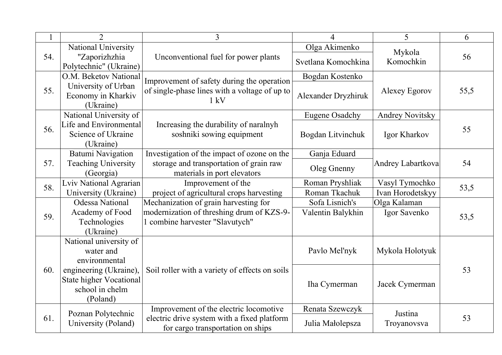|     | $\overline{2}$                 | $\overline{3}$                                 | 4                                                                                                                                                                                                                                                                                                               | 5                      | 6    |
|-----|--------------------------------|------------------------------------------------|-----------------------------------------------------------------------------------------------------------------------------------------------------------------------------------------------------------------------------------------------------------------------------------------------------------------|------------------------|------|
|     | National University            |                                                | Olga Akimenko                                                                                                                                                                                                                                                                                                   |                        |      |
| 54. | "Zaporizhzhia                  | Unconventional fuel for power plants           |                                                                                                                                                                                                                                                                                                                 | Mykola<br>Komochkin    | 56   |
|     | Polytechnic" (Ukraine)         |                                                |                                                                                                                                                                                                                                                                                                                 |                        |      |
|     | O.M. Beketov National          | Improvement of safety during the operation     |                                                                                                                                                                                                                                                                                                                 |                        |      |
| 55. | University of Urban            | of single-phase lines with a voltage of up to  |                                                                                                                                                                                                                                                                                                                 | Alexey Egorov          | 55,5 |
|     | Economy in Kharkiv             |                                                |                                                                                                                                                                                                                                                                                                                 |                        |      |
|     | (Ukraine)                      |                                                |                                                                                                                                                                                                                                                                                                                 |                        |      |
|     | National University of         |                                                |                                                                                                                                                                                                                                                                                                                 | <b>Andrey Novitsky</b> |      |
| 56. | Life and Environmental         | Increasing the durability of naralnyh          |                                                                                                                                                                                                                                                                                                                 |                        | 55   |
|     | Science of Ukraine             | soshniki sowing equipment                      |                                                                                                                                                                                                                                                                                                                 | Igor Kharkov           |      |
|     | (Ukraine)                      |                                                |                                                                                                                                                                                                                                                                                                                 |                        |      |
|     | <b>Batumi Navigation</b>       | Investigation of the impact of ozone on the    |                                                                                                                                                                                                                                                                                                                 |                        |      |
| 57. | <b>Teaching University</b>     | storage and transportation of grain raw        |                                                                                                                                                                                                                                                                                                                 | Andrey Labartkova      | 54   |
|     | (Georgia)                      | materials in port elevators                    |                                                                                                                                                                                                                                                                                                                 |                        |      |
| 58. | Lviv National Agrarian         | Improvement of the                             |                                                                                                                                                                                                                                                                                                                 | Vasyl Tymochko         | 53,5 |
|     | University (Ukraine)           | project of agricultural crops harvesting       |                                                                                                                                                                                                                                                                                                                 | Ivan Horodetskyy       |      |
|     | <b>Odessa National</b>         | Mechanization of grain harvesting for          |                                                                                                                                                                                                                                                                                                                 | Olga Kalaman           |      |
| 59. | Academy of Food                | modernization of threshing drum of KZS-9-      |                                                                                                                                                                                                                                                                                                                 | Igor Savenko           | 53,5 |
|     | Technologies                   | 1 combine harvester "Slavutych"                |                                                                                                                                                                                                                                                                                                                 |                        |      |
|     | (Ukraine)                      |                                                | Svetlana Komochkina<br>Bogdan Kostenko<br>Alexander Dryzhiruk<br>$1 \text{ kV}$<br><b>Eugene Osadchy</b><br>Bogdan Litvinchuk<br>Ganja Eduard<br>Oleg Gnenny<br>Roman Pryshliak<br>Roman Tkachuk<br>Sofa Lisnich's<br>Valentin Balykhin<br>Pavlo Mel'nyk<br>Iha Cymerman<br>Renata Szewczyk<br>Julia Małolepsza |                        |      |
|     | National university of         |                                                |                                                                                                                                                                                                                                                                                                                 |                        |      |
|     | water and                      |                                                |                                                                                                                                                                                                                                                                                                                 | Mykola Holotyuk        |      |
|     | environmental                  |                                                |                                                                                                                                                                                                                                                                                                                 |                        |      |
| 60. | engineering (Ukraine),         | Soil roller with a variety of effects on soils |                                                                                                                                                                                                                                                                                                                 |                        | 53   |
|     | <b>State higher Vocational</b> |                                                |                                                                                                                                                                                                                                                                                                                 | Jacek Cymerman         |      |
|     | school in chelm                |                                                |                                                                                                                                                                                                                                                                                                                 |                        |      |
|     | (Poland)                       |                                                |                                                                                                                                                                                                                                                                                                                 |                        |      |
|     | Poznan Polytechnic             | Improvement of the electric locomotive         |                                                                                                                                                                                                                                                                                                                 | Justina                |      |
| 61. | University (Poland)            | electric drive system with a fixed platform    |                                                                                                                                                                                                                                                                                                                 | Troyanovsva            | 53   |
|     |                                | for cargo transportation on ships              |                                                                                                                                                                                                                                                                                                                 |                        |      |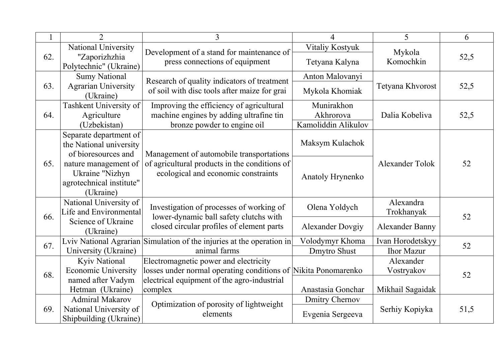|     | $\overline{2}$                                                                              | 3                                                                                                                                                                 | 4                                              | 5                                           | 6    |
|-----|---------------------------------------------------------------------------------------------|-------------------------------------------------------------------------------------------------------------------------------------------------------------------|------------------------------------------------|---------------------------------------------|------|
| 62. | National University<br>"Zaporizhzhia<br>Polytechnic" (Ukraine)                              | Development of a stand for maintenance of<br>press connections of equipment                                                                                       | Vitaliy Kostyuk<br>Tetyana Kalyna              | Mykola<br>Komochkin                         | 52,5 |
| 63. | <b>Sumy National</b><br><b>Agrarian University</b><br>(Ukraine)                             | Research of quality indicators of treatment<br>of soil with disc tools after maize for grai                                                                       | Anton Malovanyi<br>Mykola Khomiak              | Tetyana Khvorost                            | 52,5 |
| 64. | Tashkent University of<br>Agriculture<br>(Uzbekistan)                                       | Improving the efficiency of agricultural<br>machine engines by adding ultrafine tin<br>bronze powder to engine oil                                                | Munirakhon<br>Akhrorova<br>Kamoliddin Alikulov | Dalia Kobeliva                              | 52,5 |
|     | Separate department of<br>the National university<br>of bioresources and                    | Management of automobile transportations                                                                                                                          | Maksym Kulachok                                |                                             |      |
| 65. | nature management of<br>Ukraine "Nizhyn<br>agrotechnical institute"<br>(Ukraine)            | of agricultural products in the conditions of<br>ecological and economic constraints<br>Anatoly Hrynenko                                                          |                                                | Alexander Tolok                             | 52   |
| 66. | National University of<br>Life and Environmental                                            | Investigation of processes of working of<br>lower-dynamic ball safety clutchs with                                                                                | Olena Yoldych                                  | Alexandra<br>Trokhanyak                     | 52   |
|     | Science of Ukraine<br>(Ukraine)                                                             | closed circular profiles of element parts                                                                                                                         | <b>Alexander Dovgiy</b>                        | <b>Alexander Banny</b>                      |      |
| 67. | University (Ukraine)                                                                        | Lviv National Agrarian Simulation of the injuries at the operation in<br>animal farms                                                                             | Volodymyr Khoma<br>Dmytro Shust                | Ivan Horodetskyy<br><b>Ihor Mazur</b>       | 52   |
| 68. | <b>Kyiv National</b><br><b>Economic University</b><br>named after Vadym<br>Hetman (Ukraine) | Electromagnetic power and electricity<br>losses under normal operating conditions of Nikita Ponomarenko<br>electrical equipment of the agro-industrial<br>complex | Anastasia Gonchar                              | Alexander<br>Vostryakov<br>Mikhail Sagaidak | 52   |
| 69. | <b>Admiral Makarov</b><br>National University of<br>Shipbuilding (Ukraine)                  | Optimization of porosity of lightweight<br>elements                                                                                                               | <b>Dmitry Chernov</b><br>Evgenia Sergeeva      | Serhiy Kopiyka                              | 51,5 |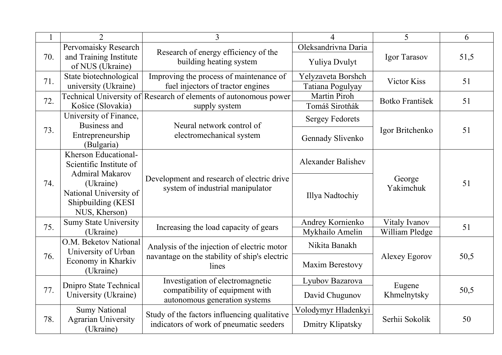|     | $\overline{2}$                                  | $\overline{3}$                                                                 | 4                         | 5                     | 6    |
|-----|-------------------------------------------------|--------------------------------------------------------------------------------|---------------------------|-----------------------|------|
|     | Pervomaisky Research                            |                                                                                | Oleksandrivna Daria       |                       |      |
| 70. | and Training Institute<br>of NUS (Ukraine)      | Research of energy efficiency of the<br>building heating system                | Yuliya Dvulyt             | Igor Tarasov          | 51,5 |
| 71. | State biotechnological                          | Improving the process of maintenance of                                        | Yelyzaveta Borshch        | Victor Kiss           | 51   |
|     | university (Ukraine)                            | fuel injectors of tractor engines                                              | Tatiana Pogulyay          |                       |      |
| 72. |                                                 | Technical University of Research of elements of autonomous power               | <b>Martin Piroh</b>       | Botko František       | 51   |
|     | Košice (Slovakia)                               | supply system                                                                  | Tomáš Sirotňák            |                       |      |
|     | University of Finance,<br>Business and          | Neural network control of                                                      | <b>Sergey Fedorets</b>    |                       |      |
| 73. | Entrepreneurship<br>(Bulgaria)                  | electromechanical system                                                       | Gennady Slivenko          | Igor Britchenko       | 51   |
|     | Kherson Educational-<br>Scientific Institute of |                                                                                | <b>Alexander Balishev</b> |                       |      |
|     | <b>Admiral Makarov</b>                          | Development and research of electric drive<br>system of industrial manipulator |                           |                       |      |
| 74. | (Ukraine)                                       |                                                                                |                           | George<br>Yakimchuk   | 51   |
|     | National University of                          |                                                                                | Illya Nadtochiy           |                       |      |
|     | Shipbuilding (KESI                              |                                                                                |                           |                       |      |
|     | NUS, Kherson)                                   |                                                                                |                           |                       |      |
| 75. | <b>Sumy State University</b>                    | Increasing the load capacity of gears                                          | Andrey Kornienko          | Vitaly Ivanov         | 51   |
|     | (Ukraine)                                       |                                                                                | Mykhailo Amelin           | William Pledge        |      |
|     | O.M. Beketov National<br>University of Urban    | Analysis of the injection of electric motor                                    | Nikita Banakh             |                       |      |
| 76. | Economy in Kharkiv<br>(Ukraine)                 | navantage on the stability of ship's electric<br>lines                         | Maxim Berestovy           | Alexey Egorov         | 50,5 |
|     |                                                 | Investigation of electromagnetic                                               | Lyubov Bazarova           |                       |      |
| 77. | Dnipro State Technical<br>University (Ukraine)  | compatibility of equipment with<br>autonomous generation systems               | David Chugunov            | Eugene<br>Khmelnytsky | 50,5 |
|     | <b>Sumy National</b>                            | Study of the factors influencing qualitative                                   | Volodymyr Hladenkyi       |                       |      |
| 78. | <b>Agrarian University</b><br>(Ukraine)         | indicators of work of pneumatic seeders                                        | Dmitry Klipatsky          | Serhii Sokolik        | 50   |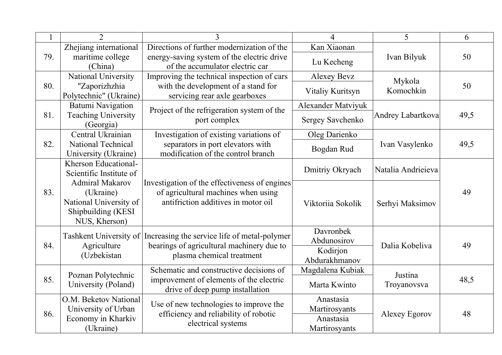|     | $\overline{2}$                                                                                       | $\mathcal{E}$                                                                                                               | $\overline{4}$                                           | 5                   | 6    |
|-----|------------------------------------------------------------------------------------------------------|-----------------------------------------------------------------------------------------------------------------------------|----------------------------------------------------------|---------------------|------|
|     | Zhejiang international                                                                               | Directions of further modernization of the                                                                                  | Kan Xiaonan                                              |                     |      |
| 79. | maritime college<br>(China)                                                                          | energy-saving system of the electric drive<br>of the accumulator electric car                                               | Lu Kecheng                                               | Ivan Bilyuk         | 50   |
|     | National University                                                                                  | Improving the technical inspection of cars                                                                                  | <b>Alexey Bevz</b>                                       |                     |      |
| 80. | "Zaporizhzhia<br>Polytechnic" (Ukraine)                                                              | with the development of a stand for<br>servicing rear axle gearboxes                                                        | Vitaliy Kuritsyn                                         | Mykola<br>Komochkin | 50   |
|     | Batumi Navigation                                                                                    | Project of the refrigeration system of the                                                                                  | <b>Alexander Matviyuk</b>                                |                     |      |
| 81. | <b>Teaching University</b><br>(Georgia)                                                              | port complex                                                                                                                | Sergey Savchenko                                         | Andrey Labartkova   | 49,5 |
|     | Central Ukrainian                                                                                    | Investigation of existing variations of                                                                                     | Oleg Darienko                                            |                     |      |
| 82. | National Technical<br>University (Ukraine)                                                           | separators in port elevators with<br>modification of the control branch                                                     | Bogdan Rud                                               | Ivan Vasylenko      | 49,5 |
|     | Kherson Educational-<br>Scientific Institute of                                                      |                                                                                                                             | Dmitriy Okryach                                          | Natalia Andrieieva  |      |
| 83. | <b>Admiral Makarov</b><br>(Ukraine)<br>National University of<br>Shipbuilding (KESI<br>NUS, Kherson) | Investigation of the effectiveness of engines<br>of agricultural machines when using<br>antifriction additives in motor oil | Viktoriia Sokolik                                        | Serhyi Maksimov     | 49   |
| 84. | Tashkent University of<br>Agriculture<br>(Uzbekistan                                                 | Increasing the service life of metal-polymer<br>bearings of agricultural machinery due to<br>plasma chemical treatment      | Davronbek<br>Abdunosirov<br>Kodirjon<br>Abdurakhmanov    | Dalia Kobeliva      | 49   |
|     | Poznan Polytechnic                                                                                   | Schematic and constructive decisions of                                                                                     | Magdalena Kubiak                                         | Justina             |      |
| 85. | University (Poland)                                                                                  | improvement of elements of the electric<br>drive of deep pump installation                                                  | Marta Kwinto                                             | Troyanovsva         | 48,5 |
| 86. | O.M. Beketov National<br>University of Urban<br>Economy in Kharkiv<br>(Ukraine)                      | Use of new technologies to improve the<br>efficiency and reliability of robotic<br>electrical systems                       | Anastasia<br>Martirosyants<br>Anastasia<br>Martirosyants | Alexey Egorov       | 48   |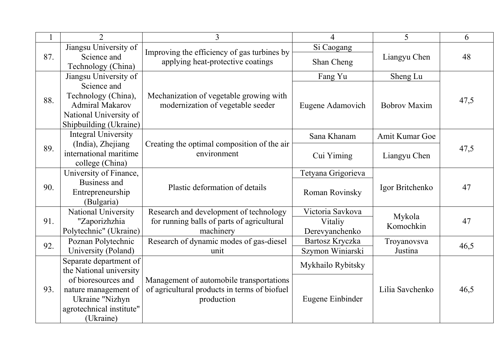|     | 2                          | $\overline{3}$                                                                   | $\overline{4}$     | 5                   | 6    |
|-----|----------------------------|----------------------------------------------------------------------------------|--------------------|---------------------|------|
|     | Jiangsu University of      |                                                                                  | Si Caogang         |                     |      |
| 87. | Science and                | Improving the efficiency of gas turbines by<br>applying heat-protective coatings | Shan Cheng         | Liangyu Chen        | 48   |
|     | Technology (China)         |                                                                                  |                    |                     |      |
|     | Jiangsu University of      |                                                                                  | Fang Yu            | Sheng Lu            |      |
|     | Science and                |                                                                                  |                    |                     |      |
| 88. | Technology (China),        | Mechanization of vegetable growing with                                          |                    |                     | 47,5 |
|     | <b>Admiral Makarov</b>     | modernization of vegetable seeder                                                | Eugene Adamovich   | <b>Bobrov Maxim</b> |      |
|     | National University of     |                                                                                  |                    |                     |      |
|     | Shipbuilding (Ukraine)     |                                                                                  |                    |                     |      |
|     | <b>Integral University</b> |                                                                                  | Sana Khanam        | Amit Kumar Goe      |      |
| 89. | (India), Zhejiang          | Creating the optimal composition of the air                                      |                    |                     | 47,5 |
|     | international maritime     | environment                                                                      | Cui Yiming         | Liangyu Chen        |      |
|     | college (China)            |                                                                                  |                    |                     |      |
|     | University of Finance,     |                                                                                  | Tetyana Grigorieva |                     |      |
| 90. | Business and               | Plastic deformation of details                                                   |                    | Igor Britchenko     | 47   |
|     | Entrepreneurship           |                                                                                  | Roman Rovinsky     |                     |      |
|     | (Bulgaria)                 |                                                                                  |                    |                     |      |
|     | National University        | Research and development of technology                                           | Victoria Savkova   | Mykola              |      |
| 91. | "Zaporizhzhia              | for running balls of parts of agricultural                                       | Vitaliy            | Komochkin           | 47   |
|     | Polytechnic" (Ukraine)     | machinery                                                                        | Derevyanchenko     |                     |      |
| 92. | Poznan Polytechnic         | Research of dynamic modes of gas-diesel                                          | Bartosz Kryczka    | Troyanovsva         | 46,5 |
|     | University (Poland)        | unit                                                                             | Szymon Winiarski   | Justina             |      |
|     | Separate department of     |                                                                                  | Mykhailo Rybitsky  |                     |      |
|     | the National university    |                                                                                  |                    |                     |      |
|     | of bioresources and        | Management of automobile transportations                                         |                    |                     |      |
| 93. | nature management of       | of agricultural products in terms of biofuel                                     |                    | Lilia Savchenko     | 46,5 |
|     | Ukraine "Nizhyn            | production                                                                       | Eugene Einbinder   |                     |      |
|     | agrotechnical institute"   |                                                                                  |                    |                     |      |
|     | (Ukraine)                  |                                                                                  |                    |                     |      |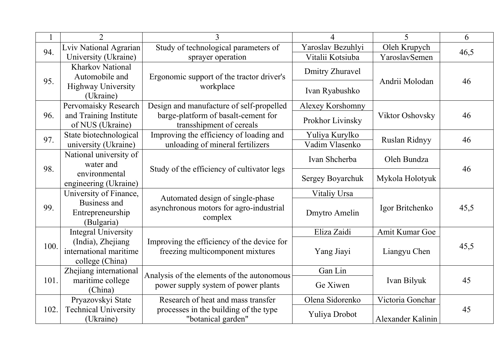|      | $\overline{2}$                         | 3                                                                           | 4                      | 5                                                                  | 6    |
|------|----------------------------------------|-----------------------------------------------------------------------------|------------------------|--------------------------------------------------------------------|------|
| 94.  | Lviv National Agrarian                 | Study of technological parameters of                                        | Yaroslav Bezuhlyi      | Oleh Krupych                                                       |      |
|      | University (Ukraine)                   | sprayer operation                                                           | Vitalii Kotsiuba       | YaroslavSemen                                                      | 46,5 |
|      | <b>Kharkov National</b>                |                                                                             | <b>Dmitry Zhuravel</b> |                                                                    |      |
| 95.  | Automobile and                         | Ergonomic support of the tractor driver's                                   |                        | Andrii Molodan                                                     | 46   |
|      | <b>Highway University</b><br>(Ukraine) | workplace                                                                   | Ivan Ryabushko         |                                                                    |      |
|      | Pervomaisky Research                   | Design and manufacture of self-propelled                                    | Alexey Korshomny       |                                                                    |      |
| 96.  | and Training Institute                 | barge-platform of basalt-cement for                                         |                        | <b>Viktor Oshovsky</b>                                             | 46   |
|      | of NUS (Ukraine)                       | transshipment of cereals                                                    | Prokhor Livinsky       |                                                                    |      |
| 97.  | State biotechnological                 | Improving the efficiency of loading and                                     | Yuliya Kurylko         |                                                                    | 46   |
|      | university (Ukraine)                   | unloading of mineral fertilizers                                            | Vadim Vlasenko         |                                                                    |      |
|      | National university of                 |                                                                             | Ivan Shcherba          |                                                                    |      |
| 98.  | water and                              | Study of the efficiency of cultivator legs                                  |                        |                                                                    | 46   |
|      | environmental                          |                                                                             | Sergey Boyarchuk       | Ruslan Ridnyy<br>Oleh Bundza<br>Mykola Holotyuk<br>Igor Britchenko |      |
|      | engineering (Ukraine)                  |                                                                             |                        |                                                                    |      |
|      | University of Finance,                 | Automated design of single-phase<br>asynchronous motors for agro-industrial | Vitaliy Ursa           |                                                                    |      |
| 99.  | Business and                           |                                                                             |                        |                                                                    | 45,5 |
|      | Entrepreneurship<br>(Bulgaria)         | complex                                                                     | Dmytro Amelin          |                                                                    |      |
|      | <b>Integral University</b>             |                                                                             | Eliza Zaidi            | Amit Kumar Goe                                                     |      |
|      | (India), Zhejiang                      | Improving the efficiency of the device for                                  |                        |                                                                    |      |
| 100. | international maritime                 | freezing multicomponent mixtures                                            | Yang Jiayi             | Liangyu Chen                                                       | 45,5 |
|      | college (China)                        |                                                                             |                        |                                                                    |      |
|      | Zhejiang international                 | Analysis of the elements of the autonomous                                  | Gan Lin                |                                                                    |      |
| 101. | maritime college                       | power supply system of power plants                                         | Ge Xiwen               | Ivan Bilyuk                                                        | 45   |
|      | (China)                                |                                                                             |                        |                                                                    |      |
|      | Pryazovskyi State                      | Research of heat and mass transfer                                          | Olena Sidorenko        | Victoria Gonchar                                                   |      |
| 102. | <b>Technical University</b>            | processes in the building of the type                                       | Yuliya Drobot          |                                                                    | 45   |
|      | (Ukraine)                              | "botanical garden"                                                          |                        | Alexander Kalinin                                                  |      |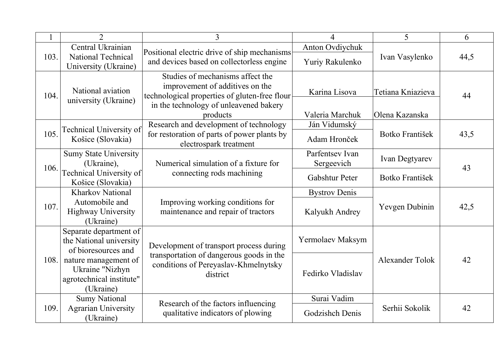|      | $\overline{2}$                                                                   | 3                                                                                                                                                                          | 4                                | 5                                   | 6    |
|------|----------------------------------------------------------------------------------|----------------------------------------------------------------------------------------------------------------------------------------------------------------------------|----------------------------------|-------------------------------------|------|
|      | Central Ukrainian                                                                |                                                                                                                                                                            | Anton Ovdiychuk                  |                                     |      |
| 103. | <b>National Technical</b><br>University (Ukraine)                                | Positional electric drive of ship mechanisms<br>and devices based on collectorless engine                                                                                  | Yuriy Rakulenko                  | Ivan Vasylenko                      | 44,5 |
| 104. | National aviation<br>university (Ukraine)                                        | Studies of mechanisms affect the<br>improvement of additives on the<br>technological properties of gluten-free flour<br>in the technology of unleavened bakery<br>products | Karina Lisova<br>Valeria Marchuk | Tetiana Kniazieva<br>Olena Kazanska | 44   |
|      | Technical University of                                                          | Research and development of technology                                                                                                                                     | Ján Vidumský                     |                                     |      |
| 105. | Košice (Slovakia)                                                                | for restoration of parts of power plants by<br>electrospark treatment                                                                                                      | Adam Hronček                     | Botko František                     | 43,5 |
| 106. | <b>Sumy State University</b><br>(Ukraine),                                       | Numerical simulation of a fixture for                                                                                                                                      | Parfentsey Ivan<br>Sergeevich    | Ivan Degtyarev                      | 43   |
|      | Technical University of<br>Košice (Slovakia)                                     | connecting rods machining                                                                                                                                                  | Gabshtur Peter                   | Botko František                     |      |
|      | <b>Kharkov National</b>                                                          |                                                                                                                                                                            | <b>Bystrov Denis</b>             |                                     |      |
| 107. | Automobile and<br><b>Highway University</b><br>(Ukraine)                         | Improving working conditions for<br>maintenance and repair of tractors                                                                                                     | Kalyukh Andrey                   | Yevgen Dubinin                      | 42,5 |
|      | Separate department of<br>the National university<br>of bioresources and         | Development of transport process during                                                                                                                                    | Yermolaev Maksym                 |                                     |      |
| 108. | nature management of<br>Ukraine "Nizhyn<br>agrotechnical institute"<br>(Ukraine) | transportation of dangerous goods in the<br>conditions of Pereyaslav-Khmelnytsky<br>district                                                                               | Fedirko Vladislav                | Alexander Tolok                     | 42   |
|      | <b>Sumy National</b>                                                             | Research of the factors influencing                                                                                                                                        | Surai Vadim                      |                                     |      |
| 109  | <b>Agrarian University</b><br>(Ukraine)                                          | qualitative indicators of plowing                                                                                                                                          | Godzishch Denis                  | Serhii Sokolik                      | 42   |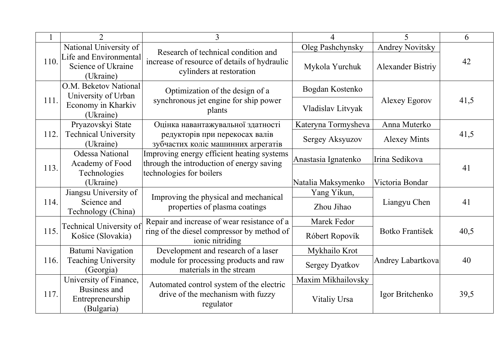|      |                                                           | 3                                                                                                               | $\overline{4}$        | 5                        | 6    |
|------|-----------------------------------------------------------|-----------------------------------------------------------------------------------------------------------------|-----------------------|--------------------------|------|
|      | National University of                                    |                                                                                                                 | Oleg Pashchynsky      | <b>Andrey Novitsky</b>   |      |
| 110. | Life and Environmental<br>Science of Ukraine<br>(Ukraine) | Research of technical condition and<br>increase of resource of details of hydraulic<br>cylinders at restoration | Mykola Yurchuk        | <b>Alexander Bistriy</b> | 42   |
|      | O.M. Beketov National<br>University of Urban              | Optimization of the design of a                                                                                 | Bogdan Kostenko       |                          |      |
| 111. | Economy in Kharkiv<br>(Ukraine)                           | synchronous jet engine for ship power<br>plants                                                                 | Vladislav Litvyak     | Alexey Egorov            | 41,5 |
|      | Pryazovskyi State                                         | Оцінка навантажувальної здатності                                                                               | Kateryna Tormysheva   | Anna Muterko             |      |
| 112. | <b>Technical University</b><br>(Ukraine)                  | редукторів при перекосах валів<br>зубчастих коліс машинних агрегатів                                            | Sergey Aksyuzov       | <b>Alexey Mints</b>      | 41,5 |
|      | <b>Odessa National</b><br>Academy of Food                 | Improving energy efficient heating systems<br>through the introduction of energy saving                         | Anastasia Ignatenko   | Irina Sedikova           |      |
| 113. | Technologies<br>(Ukraine)                                 | technologies for boilers                                                                                        | Natalia Maksymenko    | Victoria Bondar          | 41   |
|      | Jiangsu University of                                     |                                                                                                                 | Yang Yikun,           |                          |      |
| 114. | Science and<br>Technology (China)                         | Improving the physical and mechanical<br>properties of plasma coatings                                          | Zhou Jihao            | Liangyu Chen             | 41   |
|      | Technical University of                                   | Repair and increase of wear resistance of a                                                                     | Marek Fedor           |                          |      |
| 115. | Košice (Slovakia)                                         | ring of the diesel compressor by method of<br>ionic nitriding                                                   | Róbert Ropovík        | Botko František          | 40,5 |
|      | Batumi Navigation                                         | Development and research of a laser                                                                             | Mykhailo Krot         |                          |      |
| 116. | <b>Teaching University</b><br>(Georgia)                   | module for processing products and raw<br>materials in the stream                                               | <b>Sergey Dyatkov</b> | Andrey Labartkova        | 40   |
|      | University of Finance,                                    |                                                                                                                 | Maxim Mikhailovsky    |                          |      |
| 117. | <b>Business and</b><br>Entrepreneurship<br>(Bulgaria)     | Automated control system of the electric<br>drive of the mechanism with fuzzy<br>regulator                      | Vitaliy Ursa          | Igor Britchenko          | 39,5 |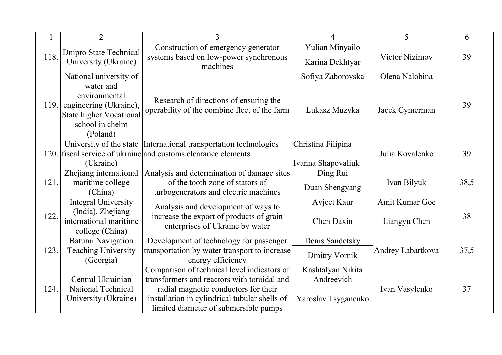|      | $\overline{2}$                                                 | 3                                                                             | 4                    | 5                 | 6    |
|------|----------------------------------------------------------------|-------------------------------------------------------------------------------|----------------------|-------------------|------|
| 118. | Dnipro State Technical                                         | Construction of emergency generator<br>systems based on low-power synchronous | Yulian Minyailo      | Victor Nizimov    | 39   |
|      | University (Ukraine)                                           | machines                                                                      | Karina Dekhtyar      |                   |      |
|      | National university of                                         |                                                                               | Sofiya Zaborovska    | Olena Nalobina    |      |
|      | water and<br>environmental                                     | Research of directions of ensuring the                                        |                      |                   |      |
| 119. | engineering (Ukraine),                                         | operability of the combine fleet of the farm                                  | Lukasz Muzyka        | Jacek Cymerman    | 39   |
|      | <b>State higher Vocational</b><br>school in chelm              |                                                                               |                      |                   |      |
|      | (Poland)                                                       |                                                                               |                      |                   |      |
|      |                                                                | University of the state International transportation technologies             | Christina Filipina   |                   |      |
|      |                                                                | 120. fiscal service of ukraine and customs clearance elements                 |                      | Julia Kovalenko   | 39   |
|      | (Ukraine)                                                      |                                                                               | Ivanna Shapovaliuk   |                   |      |
|      | Zhejiang international                                         | Analysis and determination of damage sites                                    | Ding Rui             |                   |      |
| 121. | maritime college                                               | of the tooth zone of stators of                                               | Duan Shengyang       | Ivan Bilyuk       | 38,5 |
|      | (China)                                                        | turbogenerators and electric machines                                         |                      |                   |      |
|      | <b>Integral University</b>                                     | Analysis and development of ways to                                           | Avjeet Kaur          | Amit Kumar Goe    |      |
| 122. | (India), Zhejiang<br>international maritime<br>college (China) | increase the export of products of grain<br>enterprises of Ukraine by water   | Chen Daxin           | Liangyu Chen      | 38   |
|      | <b>Batumi Navigation</b>                                       | Development of technology for passenger                                       | Denis Sandetsky      |                   |      |
| 123. | <b>Teaching University</b><br>(Georgia)                        | transportation by water transport to increase<br>energy efficiency            | <b>Dmitry Vornik</b> | Andrey Labartkova | 37,5 |
|      |                                                                | Comparison of technical level indicators of                                   | Kashtalyan Nikita    |                   |      |
|      | Central Ukrainian                                              | transformers and reactors with toroidal and                                   | Andreevich           |                   |      |
| 124. | National Technical                                             | radial magnetic conductors for their                                          |                      | Ivan Vasylenko    | 37   |
|      | University (Ukraine)                                           | installation in cylindrical tubular shells of                                 | Yaroslav Tsyganenko  |                   |      |
|      |                                                                | limited diameter of submersible pumps                                         |                      |                   |      |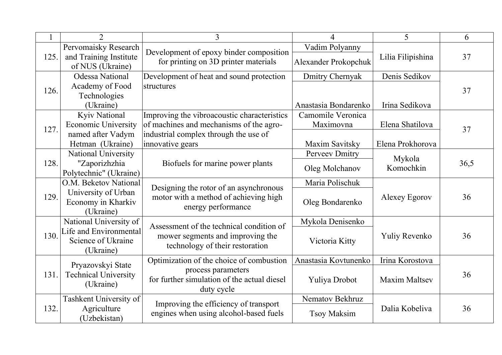|      | $\overline{2}$                                   | 3                                                                               | 4                    | 5                    | 6    |
|------|--------------------------------------------------|---------------------------------------------------------------------------------|----------------------|----------------------|------|
|      | Pervomaisky Research                             |                                                                                 | Vadim Polyanny       |                      |      |
| 125. | and Training Institute<br>of NUS (Ukraine)       | Development of epoxy binder composition<br>for printing on 3D printer materials | Alexander Prokopchuk | Lilia Filipishina    | 37   |
|      | <b>Odessa National</b>                           | Development of heat and sound protection                                        | Dmitry Chernyak      | Denis Sedikov        |      |
|      | Academy of Food                                  | structures                                                                      |                      |                      | 37   |
| 126. | Technologies                                     |                                                                                 |                      |                      |      |
|      | (Ukraine)                                        |                                                                                 | Anastasia Bondarenko | Irina Sedikova       |      |
|      | <b>Kyiv National</b>                             | Improving the vibroacoustic characteristics                                     | Camomile Veronica    |                      |      |
| 127. | <b>Economic University</b>                       | of machines and mechanisms of the agro-                                         | Maximovna            | Elena Shatilova      | 37   |
|      | named after Vadym                                | industrial complex through the use of                                           |                      |                      |      |
|      | Hetman (Ukraine)                                 | innovative gears                                                                | Maxim Savitsky       | Elena Prokhorova     |      |
|      | <b>National University</b>                       |                                                                                 | Perveev Dmitry       | Mykola               |      |
| 128. | "Zaporizhzhia                                    | Biofuels for marine power plants                                                | Oleg Molchanov       | Komochkin            | 36,5 |
|      | Polytechnic" (Ukraine)                           |                                                                                 |                      |                      |      |
|      | O.M. Beketov National                            | Designing the rotor of an asynchronous                                          | Maria Polischuk      |                      |      |
| 129. | University of Urban                              | motor with a method of achieving high                                           |                      | Alexey Egorov        | 36   |
|      | Economy in Kharkiv<br>(Ukraine)                  | energy performance                                                              | Oleg Bondarenko      |                      |      |
|      | National University of                           |                                                                                 | Mykola Denisenko     |                      |      |
|      | Life and Environmental                           | Assessment of the technical condition of                                        |                      |                      |      |
| 130. | Science of Ukraine                               | mower segments and improving the                                                | Victoria Kitty       | Yuliy Revenko        | 36   |
|      | (Ukraine)                                        | technology of their restoration                                                 |                      |                      |      |
|      |                                                  | Optimization of the choice of combustion                                        | Anastasia Kovtunenko | Irina Korostova      |      |
| 131. | Pryazovskyi State<br><b>Technical University</b> | process parameters                                                              |                      |                      | 36   |
|      | (Ukraine)                                        | for further simulation of the actual diesel                                     | Yuliya Drobot        | <b>Maxim Maltsev</b> |      |
|      |                                                  | duty cycle                                                                      |                      |                      |      |
|      | Tashkent University of                           | Improving the efficiency of transport                                           | Nematov Bekhruz      |                      |      |
| 132. | Agriculture                                      | engines when using alcohol-based fuels                                          | <b>Tsoy Maksim</b>   | Dalia Kobeliva       | 36   |
|      | (Uzbekistan)                                     |                                                                                 |                      |                      |      |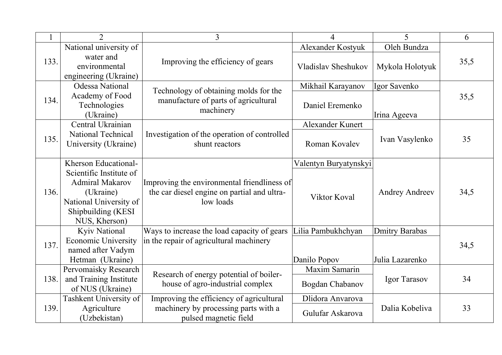|      | $\overline{2}$                                                                                                                  | $\overline{3}$                                                                                          | 4                     | 5                     | 6    |
|------|---------------------------------------------------------------------------------------------------------------------------------|---------------------------------------------------------------------------------------------------------|-----------------------|-----------------------|------|
|      | National university of                                                                                                          |                                                                                                         | Alexander Kostyuk     | Oleh Bundza           |      |
| 133. | water and<br>environmental<br>engineering (Ukraine)                                                                             | Improving the efficiency of gears                                                                       | Vladislav Sheshukov   | Mykola Holotyuk       | 35,5 |
|      | Odessa National                                                                                                                 |                                                                                                         | Mikhail Karayanov     | Igor Savenko          |      |
| 134. | Academy of Food<br>Technologies<br>(Ukraine)                                                                                    | Technology of obtaining molds for the<br>manufacture of parts of agricultural<br>machinery              | Daniel Eremenko       | Irina Ageeva          | 35,5 |
|      | Central Ukrainian                                                                                                               |                                                                                                         | Alexander Kunert      |                       |      |
| 135. | <b>National Technical</b><br>University (Ukraine)                                                                               | Investigation of the operation of controlled<br>shunt reactors                                          | Roman Kovalev         | Ivan Vasylenko        | 35   |
|      | Kherson Educational-                                                                                                            |                                                                                                         | Valentyn Buryatynskyi |                       |      |
| 136. | Scientific Institute of<br><b>Admiral Makarov</b><br>(Ukraine)<br>National University of<br>Shipbuilding (KESI<br>NUS, Kherson) | Improving the environmental friendliness of<br>the car diesel engine on partial and ultra-<br>low loads | Viktor Koval          | <b>Andrey Andreev</b> | 34,5 |
|      | Kyiv National                                                                                                                   | Ways to increase the load capacity of gears                                                             | Lilia Pambukhchyan    | <b>Dmitry Barabas</b> |      |
| 137. | <b>Economic University</b><br>named after Vadym<br>Hetman (Ukraine)                                                             | in the repair of agricultural machinery                                                                 | Danilo Popov          | Julia Lazarenko       | 34,5 |
|      | Pervomaisky Research                                                                                                            |                                                                                                         | Maxim Samarin         |                       |      |
| 138. | and Training Institute<br>of NUS (Ukraine)                                                                                      | Research of energy potential of boiler-<br>house of agro-industrial complex                             | Bogdan Chabanov       | Igor Tarasov          | 34   |
|      | Tashkent University of                                                                                                          | Improving the efficiency of agricultural                                                                | Dlidora Anvarova      |                       |      |
| 139. | Agriculture<br>(Uzbekistan)                                                                                                     | machinery by processing parts with a<br>pulsed magnetic field                                           | Gulufar Askarova      | Dalia Kobeliva        | 33   |